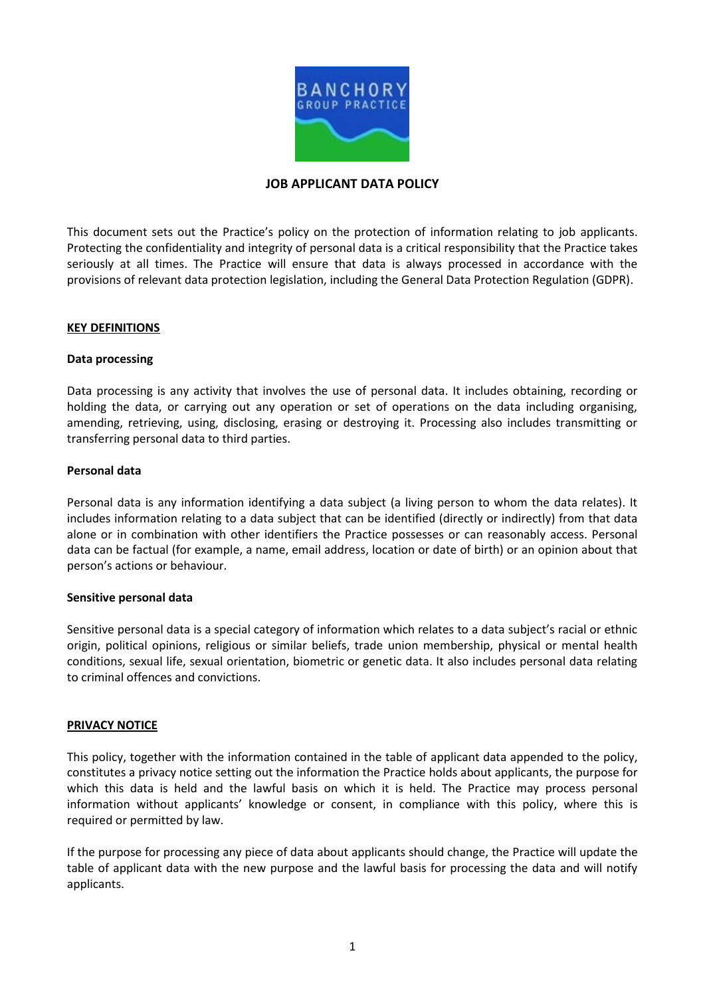

## **JOB APPLICANT DATA POLICY**

This document sets out the Practice's policy on the protection of information relating to job applicants. Protecting the confidentiality and integrity of personal data is a critical responsibility that the Practice takes seriously at all times. The Practice will ensure that data is always processed in accordance with the provisions of relevant data protection legislation, including the General Data Protection Regulation (GDPR).

#### **KEY DEFINITIONS**

#### **Data processing**

Data processing is any activity that involves the use of personal data. It includes obtaining, recording or holding the data, or carrying out any operation or set of operations on the data including organising, amending, retrieving, using, disclosing, erasing or destroying it. Processing also includes transmitting or transferring personal data to third parties.

#### **Personal data**

Personal data is any information identifying a data subject (a living person to whom the data relates). It includes information relating to a data subject that can be identified (directly or indirectly) from that data alone or in combination with other identifiers the Practice possesses or can reasonably access. Personal data can be factual (for example, a name, email address, location or date of birth) or an opinion about that person's actions or behaviour.

### **Sensitive personal data**

Sensitive personal data is a special category of information which relates to a data subject's racial or ethnic origin, political opinions, religious or similar beliefs, trade union membership, physical or mental health conditions, sexual life, sexual orientation, biometric or genetic data. It also includes personal data relating to criminal offences and convictions.

#### **PRIVACY NOTICE**

This policy, together with the information contained in the table of applicant data appended to the policy, constitutes a privacy notice setting out the information the Practice holds about applicants, the purpose for which this data is held and the lawful basis on which it is held. The Practice may process personal information without applicants' knowledge or consent, in compliance with this policy, where this is required or permitted by law.

If the purpose for processing any piece of data about applicants should change, the Practice will update the table of applicant data with the new purpose and the lawful basis for processing the data and will notify applicants.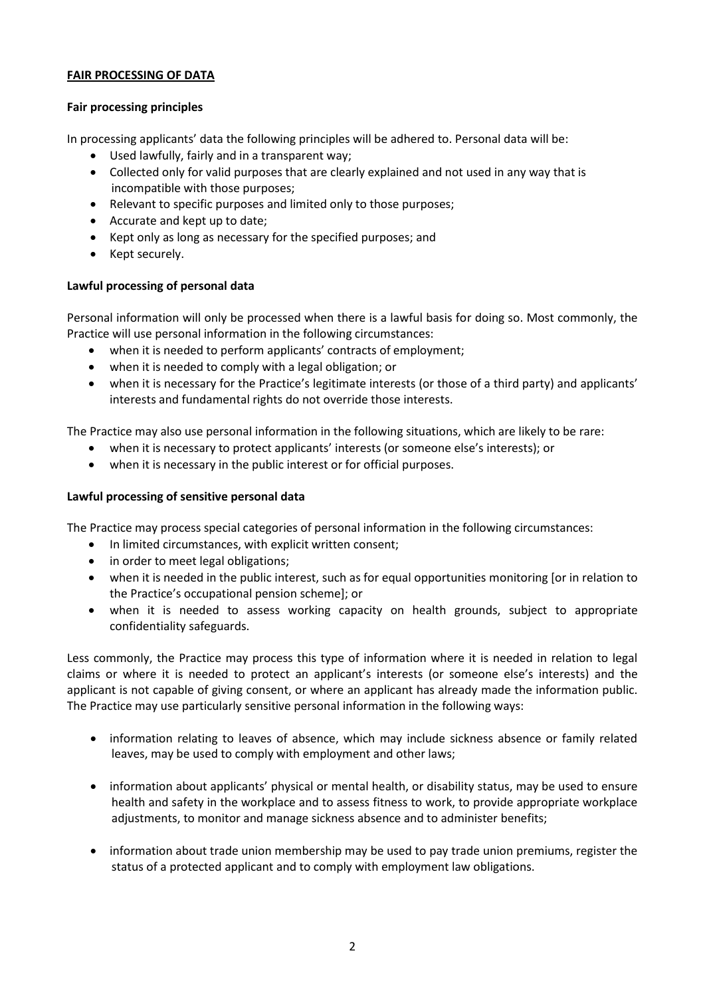# **FAIR PROCESSING OF DATA**

## **Fair processing principles**

In processing applicants' data the following principles will be adhered to. Personal data will be:

- Used lawfully, fairly and in a transparent way;
- Collected only for valid purposes that are clearly explained and not used in any way that is incompatible with those purposes;
- Relevant to specific purposes and limited only to those purposes;
- Accurate and kept up to date;
- Kept only as long as necessary for the specified purposes; and
- Kept securely.

## **Lawful processing of personal data**

Personal information will only be processed when there is a lawful basis for doing so. Most commonly, the Practice will use personal information in the following circumstances:

- when it is needed to perform applicants' contracts of employment;
- when it is needed to comply with a legal obligation; or
- when it is necessary for the Practice's legitimate interests (or those of a third party) and applicants' interests and fundamental rights do not override those interests.

The Practice may also use personal information in the following situations, which are likely to be rare:

- when it is necessary to protect applicants' interests (or someone else's interests); or
- when it is necessary in the public interest or for official purposes.

# **Lawful processing of sensitive personal data**

The Practice may process special categories of personal information in the following circumstances:

- In limited circumstances, with explicit written consent;
- in order to meet legal obligations;
- when it is needed in the public interest, such as for equal opportunities monitoring [or in relation to the Practice's occupational pension scheme]; or
- when it is needed to assess working capacity on health grounds, subject to appropriate confidentiality safeguards.

Less commonly, the Practice may process this type of information where it is needed in relation to legal claims or where it is needed to protect an applicant's interests (or someone else's interests) and the applicant is not capable of giving consent, or where an applicant has already made the information public. The Practice may use particularly sensitive personal information in the following ways:

- information relating to leaves of absence, which may include sickness absence or family related leaves, may be used to comply with employment and other laws;
- information about applicants' physical or mental health, or disability status, may be used to ensure health and safety in the workplace and to assess fitness to work, to provide appropriate workplace adjustments, to monitor and manage sickness absence and to administer benefits;
- information about trade union membership may be used to pay trade union premiums, register the status of a protected applicant and to comply with employment law obligations.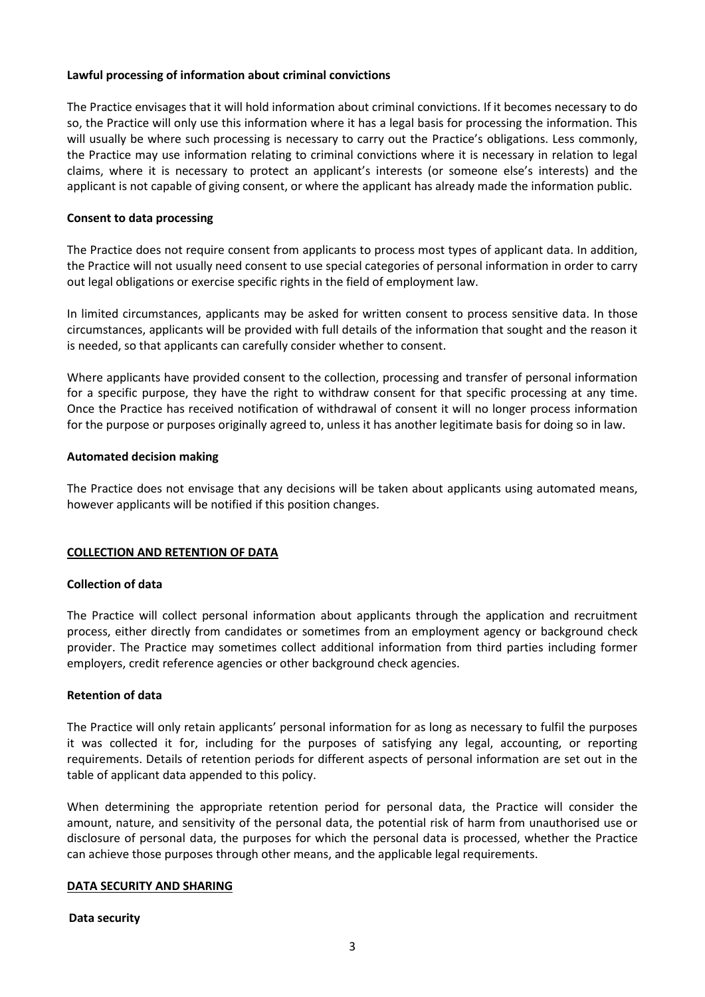### **Lawful processing of information about criminal convictions**

The Practice envisages that it will hold information about criminal convictions. If it becomes necessary to do so, the Practice will only use this information where it has a legal basis for processing the information. This will usually be where such processing is necessary to carry out the Practice's obligations. Less commonly, the Practice may use information relating to criminal convictions where it is necessary in relation to legal claims, where it is necessary to protect an applicant's interests (or someone else's interests) and the applicant is not capable of giving consent, or where the applicant has already made the information public.

## **Consent to data processing**

The Practice does not require consent from applicants to process most types of applicant data. In addition, the Practice will not usually need consent to use special categories of personal information in order to carry out legal obligations or exercise specific rights in the field of employment law.

In limited circumstances, applicants may be asked for written consent to process sensitive data. In those circumstances, applicants will be provided with full details of the information that sought and the reason it is needed, so that applicants can carefully consider whether to consent.

Where applicants have provided consent to the collection, processing and transfer of personal information for a specific purpose, they have the right to withdraw consent for that specific processing at any time. Once the Practice has received notification of withdrawal of consent it will no longer process information for the purpose or purposes originally agreed to, unless it has another legitimate basis for doing so in law.

## **Automated decision making**

The Practice does not envisage that any decisions will be taken about applicants using automated means, however applicants will be notified if this position changes.

# **COLLECTION AND RETENTION OF DATA**

### **Collection of data**

The Practice will collect personal information about applicants through the application and recruitment process, either directly from candidates or sometimes from an employment agency or background check provider. The Practice may sometimes collect additional information from third parties including former employers, credit reference agencies or other background check agencies.

### **Retention of data**

The Practice will only retain applicants' personal information for as long as necessary to fulfil the purposes it was collected it for, including for the purposes of satisfying any legal, accounting, or reporting requirements. Details of retention periods for different aspects of personal information are set out in the table of applicant data appended to this policy.

When determining the appropriate retention period for personal data, the Practice will consider the amount, nature, and sensitivity of the personal data, the potential risk of harm from unauthorised use or disclosure of personal data, the purposes for which the personal data is processed, whether the Practice can achieve those purposes through other means, and the applicable legal requirements.

### **DATA SECURITY AND SHARING**

### **Data security**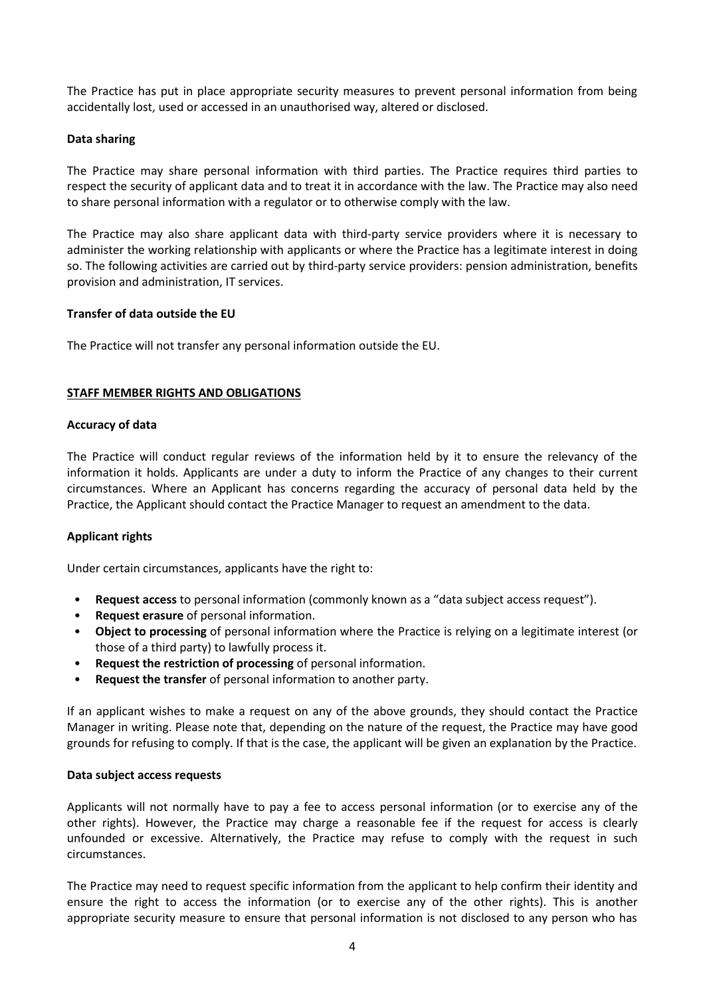The Practice has put in place appropriate security measures to prevent personal information from being accidentally lost, used or accessed in an unauthorised way, altered or disclosed.

### **Data sharing**

The Practice may share personal information with third parties. The Practice requires third parties to respect the security of applicant data and to treat it in accordance with the law. The Practice may also need to share personal information with a regulator or to otherwise comply with the law.

The Practice may also share applicant data with third-party service providers where it is necessary to administer the working relationship with applicants or where the Practice has a legitimate interest in doing so. The following activities are carried out by third-party service providers: pension administration, benefits provision and administration, IT services.

### **Transfer of data outside the EU**

The Practice will not transfer any personal information outside the EU.

## **STAFF MEMBER RIGHTS AND OBLIGATIONS**

### **Accuracy of data**

The Practice will conduct regular reviews of the information held by it to ensure the relevancy of the information it holds. Applicants are under a duty to inform the Practice of any changes to their current circumstances. Where an Applicant has concerns regarding the accuracy of personal data held by the Practice, the Applicant should contact the Practice Manager to request an amendment to the data.

# **Applicant rights**

Under certain circumstances, applicants have the right to:

- **Request access** to personal information (commonly known as a "data subject access request").
- **Request erasure** of personal information.
- **Object to processing** of personal information where the Practice is relying on a legitimate interest (or those of a third party) to lawfully process it.
- **Request the restriction of processing** of personal information.
- **Request the transfer** of personal information to another party.

If an applicant wishes to make a request on any of the above grounds, they should contact the Practice Manager in writing. Please note that, depending on the nature of the request, the Practice may have good grounds for refusing to comply. If that is the case, the applicant will be given an explanation by the Practice.

### **Data subject access requests**

Applicants will not normally have to pay a fee to access personal information (or to exercise any of the other rights). However, the Practice may charge a reasonable fee if the request for access is clearly unfounded or excessive. Alternatively, the Practice may refuse to comply with the request in such circumstances.

The Practice may need to request specific information from the applicant to help confirm their identity and ensure the right to access the information (or to exercise any of the other rights). This is another appropriate security measure to ensure that personal information is not disclosed to any person who has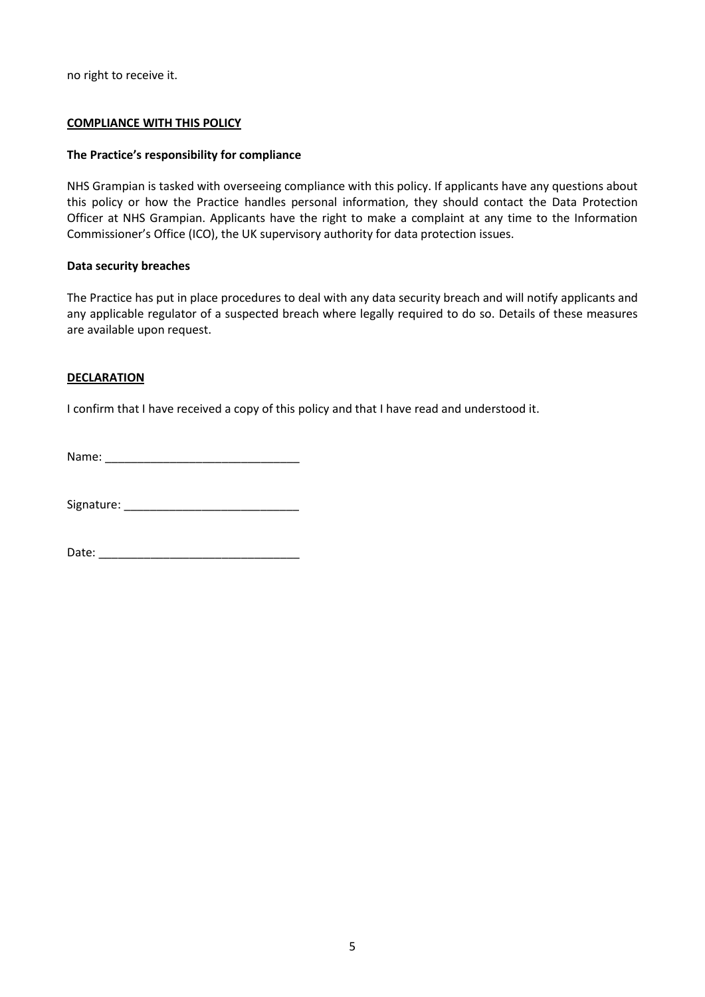no right to receive it.

### **COMPLIANCE WITH THIS POLICY**

### **The Practice's responsibility for compliance**

NHS Grampian is tasked with overseeing compliance with this policy. If applicants have any questions about this policy or how the Practice handles personal information, they should contact the Data Protection Officer at NHS Grampian. Applicants have the right to make a complaint at any time to the Information Commissioner's Office (ICO), the UK supervisory authority for data protection issues.

### **Data security breaches**

The Practice has put in place procedures to deal with any data security breach and will notify applicants and any applicable regulator of a suspected breach where legally required to do so. Details of these measures are available upon request.

### **DECLARATION**

I confirm that I have received a copy of this policy and that I have read and understood it.

Name: \_\_\_\_\_\_\_\_\_\_\_\_\_\_\_\_\_\_\_\_\_\_\_\_\_\_\_\_\_\_

Signature: \_\_\_\_\_\_\_\_\_\_\_\_\_\_\_\_\_\_\_\_\_\_\_\_\_\_\_

Date: